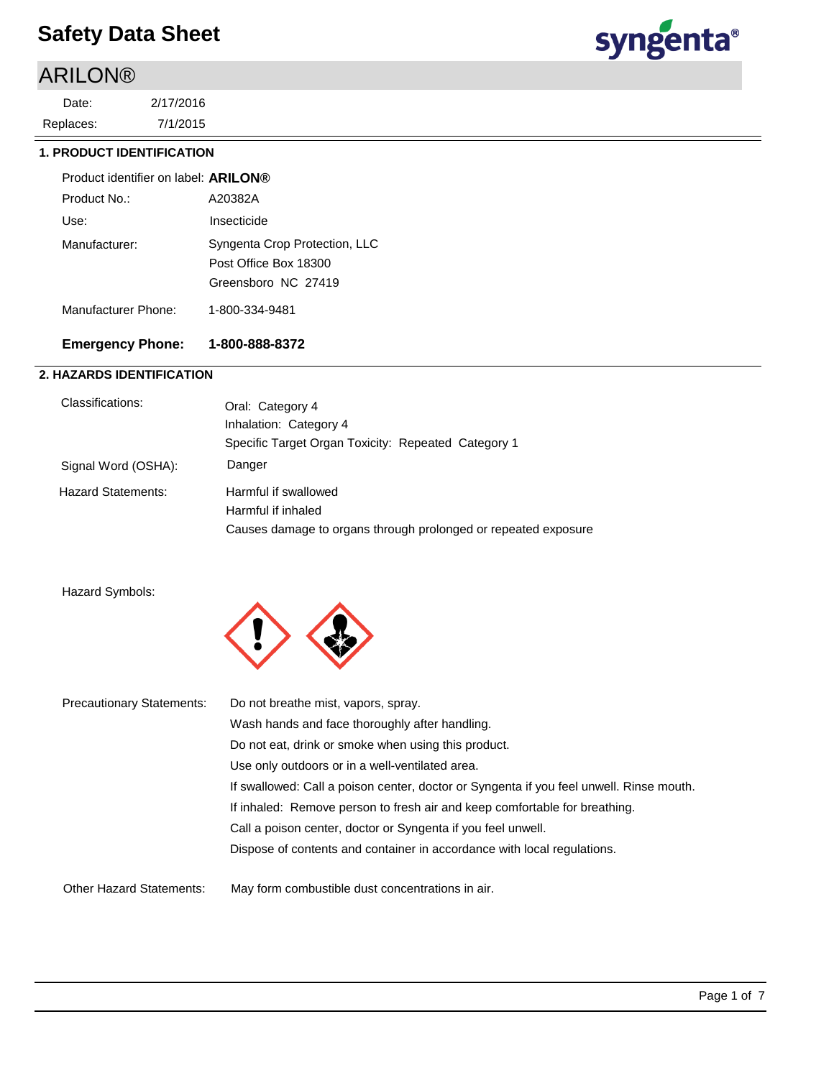# ARILON®

7/1/2015 2/17/2016 Replaces: Date:



## **1. PRODUCT IDENTIFICATION**

| Product identifier on label: <b>ARILON</b> ® |                                                                               |
|----------------------------------------------|-------------------------------------------------------------------------------|
| Product No.:                                 | A20382A                                                                       |
| Use:                                         | Insecticide                                                                   |
| Manufacturer:                                | Syngenta Crop Protection, LLC<br>Post Office Box 18300<br>Greensboro NC 27419 |
| Manufacturer Phone:                          | 1-800-334-9481                                                                |

## **Emergency Phone: 1-800-888-8372**

## **2. HAZARDS IDENTIFICATION**

| Classifications:          | Oral: Category 4                                               |
|---------------------------|----------------------------------------------------------------|
|                           | Inhalation: Category 4                                         |
|                           | Specific Target Organ Toxicity: Repeated Category 1            |
| Signal Word (OSHA):       | Danger                                                         |
| <b>Hazard Statements:</b> | Harmful if swallowed                                           |
|                           | Harmful if inhaled                                             |
|                           | Causes damage to organs through prolonged or repeated exposure |
|                           |                                                                |

## Hazard Symbols:



| <b>Precautionary Statements:</b> | Do not breathe mist, vapors, spray.                                                     |
|----------------------------------|-----------------------------------------------------------------------------------------|
|                                  | Wash hands and face thoroughly after handling.                                          |
|                                  | Do not eat, drink or smoke when using this product.                                     |
|                                  | Use only outdoors or in a well-ventilated area.                                         |
|                                  | If swallowed: Call a poison center, doctor or Syngenta if you feel unwell. Rinse mouth. |
|                                  | If inhaled: Remove person to fresh air and keep comfortable for breathing.              |
|                                  | Call a poison center, doctor or Syngenta if you feel unwell.                            |
|                                  | Dispose of contents and container in accordance with local regulations.                 |
| <b>Other Hazard Statements:</b>  | May form combustible dust concentrations in air.                                        |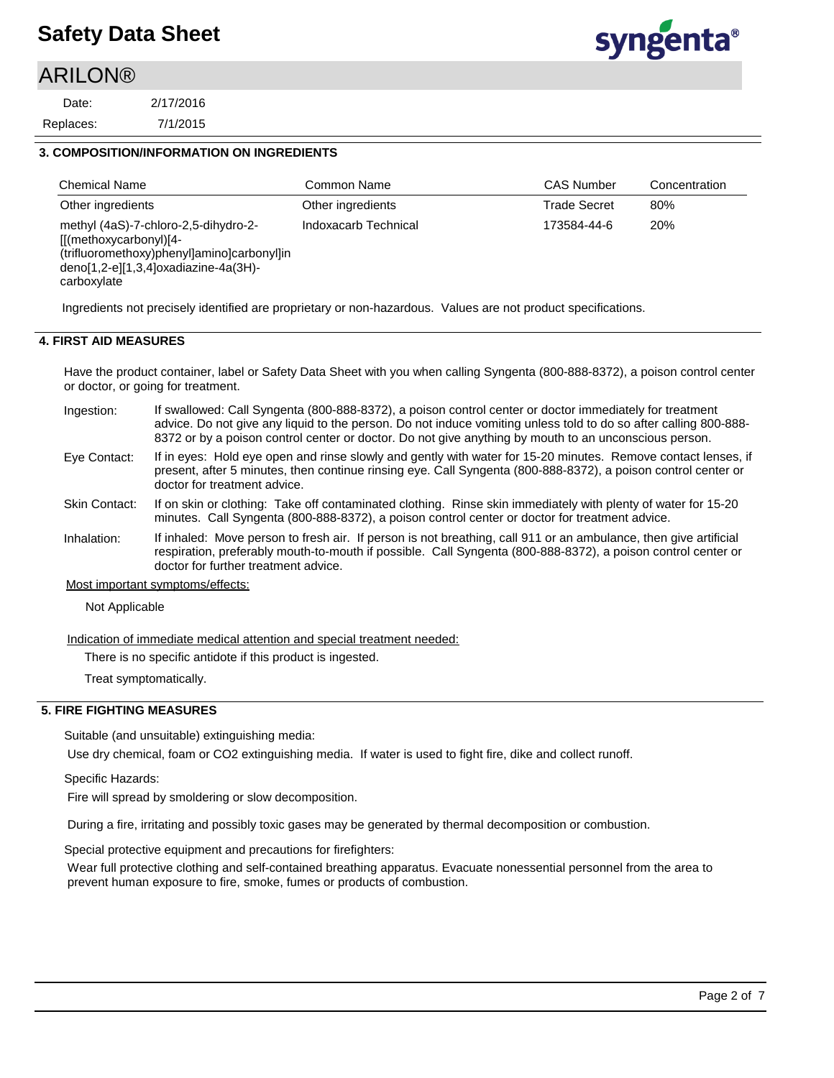## **ARILON®**

7/1/2015 2/17/2016 Replaces: Date:



### **3. COMPOSITION/INFORMATION ON INGREDIENTS**

| <b>Chemical Name</b>                                                                                                                                                     | Common Name          | <b>CAS Number</b>   | Concentration |
|--------------------------------------------------------------------------------------------------------------------------------------------------------------------------|----------------------|---------------------|---------------|
| Other ingredients                                                                                                                                                        | Other ingredients    | <b>Trade Secret</b> | 80%           |
| methyl (4aS)-7-chloro-2,5-dihydro-2-<br>$[[(methoxycarbonyl)]4-$<br>(trifluoromethoxy)phenyl]amino]carbonyl]in<br>$deno[1,2-e][1,3,4]$ oxadiazine-4a(3H)-<br>carboxylate | Indoxacarb Technical | 173584-44-6         | 20%           |

Ingredients not precisely identified are proprietary or non-hazardous. Values are not product specifications.

## **4. FIRST AID MEASURES**

Have the product container, label or Safety Data Sheet with you when calling Syngenta (800-888-8372), a poison control center or doctor, or going for treatment.

- If swallowed: Call Syngenta (800-888-8372), a poison control center or doctor immediately for treatment advice. Do not give any liquid to the person. Do not induce vomiting unless told to do so after calling 800-888- 8372 or by a poison control center or doctor. Do not give anything by mouth to an unconscious person. Ingestion:
- If in eyes: Hold eye open and rinse slowly and gently with water for 15-20 minutes. Remove contact lenses, if present, after 5 minutes, then continue rinsing eye. Call Syngenta (800-888-8372), a poison control center or doctor for treatment advice. Eye Contact:
- If on skin or clothing: Take off contaminated clothing. Rinse skin immediately with plenty of water for 15-20 minutes. Call Syngenta (800-888-8372), a poison control center or doctor for treatment advice. Skin Contact:
- If inhaled: Move person to fresh air. If person is not breathing, call 911 or an ambulance, then give artificial respiration, preferably mouth-to-mouth if possible. Call Syngenta (800-888-8372), a poison control center or doctor for further treatment advice. Inhalation:
- Most important symptoms/effects:

Not Applicable

Indication of immediate medical attention and special treatment needed:

There is no specific antidote if this product is ingested.

Treat symptomatically.

#### **5. FIRE FIGHTING MEASURES**

Suitable (and unsuitable) extinguishing media:

Use dry chemical, foam or CO2 extinguishing media. If water is used to fight fire, dike and collect runoff.

Specific Hazards:

Fire will spread by smoldering or slow decomposition.

During a fire, irritating and possibly toxic gases may be generated by thermal decomposition or combustion.

Special protective equipment and precautions for firefighters:

Wear full protective clothing and self-contained breathing apparatus. Evacuate nonessential personnel from the area to prevent human exposure to fire, smoke, fumes or products of combustion.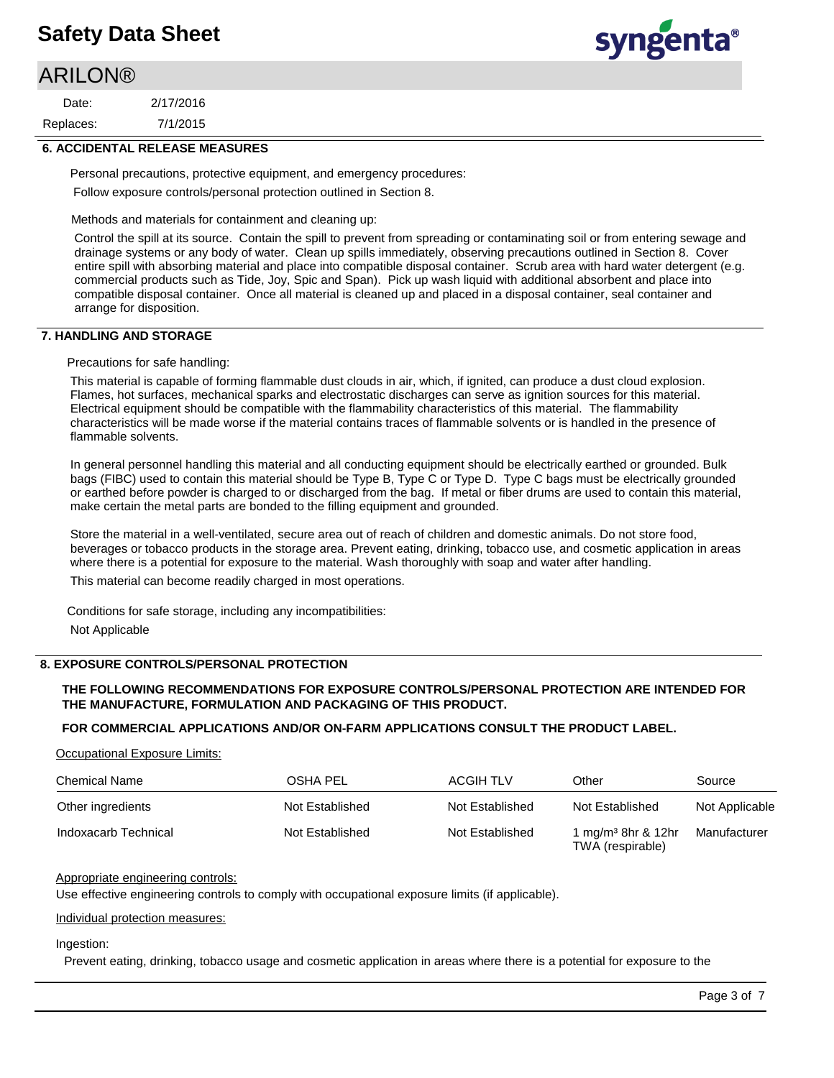## **ARILON®**

7/1/2015 2/17/2016 Replaces: Date:



#### **6. ACCIDENTAL RELEASE MEASURES**

Personal precautions, protective equipment, and emergency procedures: Follow exposure controls/personal protection outlined in Section 8.

Methods and materials for containment and cleaning up:

Control the spill at its source. Contain the spill to prevent from spreading or contaminating soil or from entering sewage and drainage systems or any body of water. Clean up spills immediately, observing precautions outlined in Section 8. Cover entire spill with absorbing material and place into compatible disposal container. Scrub area with hard water detergent (e.g. commercial products such as Tide, Joy, Spic and Span). Pick up wash liquid with additional absorbent and place into compatible disposal container. Once all material is cleaned up and placed in a disposal container, seal container and arrange for disposition.

### **7. HANDLING AND STORAGE**

Precautions for safe handling:

This material is capable of forming flammable dust clouds in air, which, if ignited, can produce a dust cloud explosion. Flames, hot surfaces, mechanical sparks and electrostatic discharges can serve as ignition sources for this material. Electrical equipment should be compatible with the flammability characteristics of this material. The flammability characteristics will be made worse if the material contains traces of flammable solvents or is handled in the presence of flammable solvents.

In general personnel handling this material and all conducting equipment should be electrically earthed or grounded. Bulk bags (FIBC) used to contain this material should be Type B, Type C or Type D. Type C bags must be electrically grounded or earthed before powder is charged to or discharged from the bag. If metal or fiber drums are used to contain this material, make certain the metal parts are bonded to the filling equipment and grounded.

Store the material in a well-ventilated, secure area out of reach of children and domestic animals. Do not store food, beverages or tobacco products in the storage area. Prevent eating, drinking, tobacco use, and cosmetic application in areas where there is a potential for exposure to the material. Wash thoroughly with soap and water after handling.

This material can become readily charged in most operations.

Conditions for safe storage, including any incompatibilities: Not Applicable

## **8. EXPOSURE CONTROLS/PERSONAL PROTECTION**

## **THE FOLLOWING RECOMMENDATIONS FOR EXPOSURE CONTROLS/PERSONAL PROTECTION ARE INTENDED FOR THE MANUFACTURE, FORMULATION AND PACKAGING OF THIS PRODUCT.**

#### **FOR COMMERCIAL APPLICATIONS AND/OR ON-FARM APPLICATIONS CONSULT THE PRODUCT LABEL.**

Occupational Exposure Limits:

| <b>Chemical Name</b> | OSHA PEL        | <b>ACGIH TLV</b> | Other                                              | Source         |
|----------------------|-----------------|------------------|----------------------------------------------------|----------------|
| Other ingredients    | Not Established | Not Established  | Not Established                                    | Not Applicable |
| Indoxacarb Technical | Not Established | Not Established  | 1 mg/m <sup>3</sup> 8hr & 12hr<br>TWA (respirable) | Manufacturer   |

#### Appropriate engineering controls:

Use effective engineering controls to comply with occupational exposure limits (if applicable).

#### Individual protection measures:

#### Ingestion:

Prevent eating, drinking, tobacco usage and cosmetic application in areas where there is a potential for exposure to the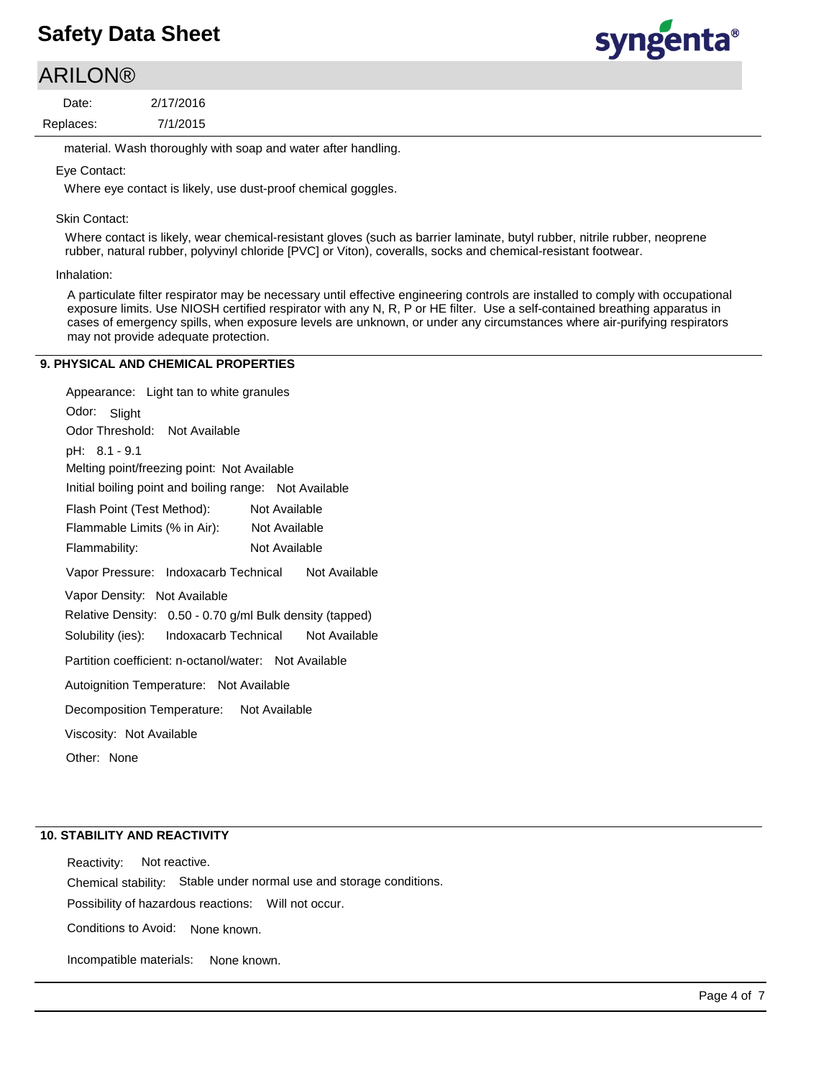## **ARILON®**

7/1/2015 2/17/2016 Replaces: Date:

material. Wash thoroughly with soap and water after handling.

### Eye Contact:

Where eye contact is likely, use dust-proof chemical goggles.

### Skin Contact:

Where contact is likely, wear chemical-resistant gloves (such as barrier laminate, butyl rubber, nitrile rubber, neoprene rubber, natural rubber, polyvinyl chloride [PVC] or Viton), coveralls, socks and chemical-resistant footwear.

#### Inhalation:

A particulate filter respirator may be necessary until effective engineering controls are installed to comply with occupational exposure limits. Use NIOSH certified respirator with any N, R, P or HE filter. Use a self-contained breathing apparatus in cases of emergency spills, when exposure levels are unknown, or under any circumstances where air-purifying respirators may not provide adequate protection.

## **9. PHYSICAL AND CHEMICAL PROPERTIES**

Odor: Slight Appearance: Light tan to white granules Vapor Pressure: Indoxacarb Technical Not Available Solubility (ies): pH: 8.1 - 9.1 Initial boiling point and boiling range: Not Available Melting point/freezing point: Not Available Odor Threshold: Not Available Not Available Flammability: Not Available Not Available Autoignition Temperature: Not Available Flash Point (Test Method): Flammable Limits (% in Air): Vapor Density: Not Available Relative Density: 0.50 - 0.70 g/ml Bulk density (tapped) Decomposition Temperature: Not Available Viscosity: Not Available Partition coefficient: n-octanol/water: Not Available Other: None Indoxacarb Technical Not Available

## **10. STABILITY AND REACTIVITY**

Incompatible materials:

Possibility of hazardous reactions: Will not occur. Chemical stability: Stable under normal use and storage conditions. Reactivity: Not reactive. Conditions to Avoid: None known.

None known.

Page 4 of 7

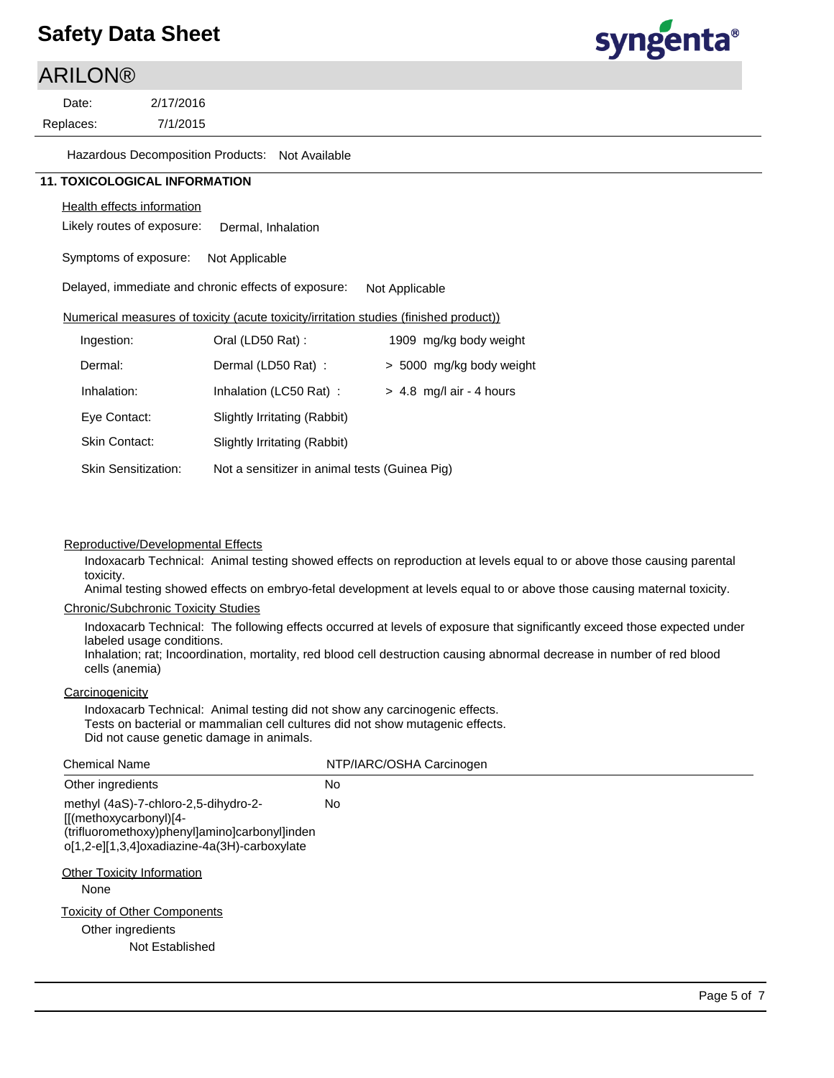## **ARILON®**

7/1/2015 2/17/2016 Replaces: Date:



Hazardous Decomposition Products: Not Available

## **11. TOXICOLOGICAL INFORMATION**

## Health effects information

Likely routes of exposure: Dermal, Inhalation

Symptoms of exposure: Not Applicable

Delayed, immediate and chronic effects of exposure: Not Applicable

## Numerical measures of toxicity (acute toxicity/irritation studies (finished product))

| Ingestion:                 | Oral (LD50 Rat):                              | 1909 mg/kg body weight     |  |  |
|----------------------------|-----------------------------------------------|----------------------------|--|--|
| Dermal:                    | Dermal (LD50 Rat):                            | > 5000 mg/kg body weight   |  |  |
| Inhalation:                | Inhalation (LC50 Rat):                        | $> 4.8$ mg/l air - 4 hours |  |  |
| Eye Contact:               | Slightly Irritating (Rabbit)                  |                            |  |  |
| <b>Skin Contact:</b>       | Slightly Irritating (Rabbit)                  |                            |  |  |
| <b>Skin Sensitization:</b> | Not a sensitizer in animal tests (Guinea Pig) |                            |  |  |

### Reproductive/Developmental Effects

Indoxacarb Technical: Animal testing showed effects on reproduction at levels equal to or above those causing parental toxicity.

Animal testing showed effects on embryo-fetal development at levels equal to or above those causing maternal toxicity.

#### Chronic/Subchronic Toxicity Studies

Indoxacarb Technical: The following effects occurred at levels of exposure that significantly exceed those expected under labeled usage conditions.

Inhalation; rat; Incoordination, mortality, red blood cell destruction causing abnormal decrease in number of red blood cells (anemia)

## **Carcinogenicity**

Indoxacarb Technical: Animal testing did not show any carcinogenic effects. Tests on bacterial or mammalian cell cultures did not show mutagenic effects. Did not cause genetic damage in animals.

| <b>Chemical Name</b>                                                                                                                                                                                           | NTP/IARC/OSHA Carcinogen |
|----------------------------------------------------------------------------------------------------------------------------------------------------------------------------------------------------------------|--------------------------|
| Other ingredients                                                                                                                                                                                              | No                       |
| methyl (4aS)-7-chloro-2,5-dihydro-2-<br>$[[(methoxycarbonyl)]4-$<br>(trifluoromethoxy)phenyl]amino]carbonyl]inden<br>o[1,2-e][1,3,4]oxadiazine-4a(3H)-carboxylate<br><b>Other Toxicity Information</b><br>None | No.                      |
| <b>Toxicity of Other Components</b><br>Other ingredients<br>Not Established                                                                                                                                    |                          |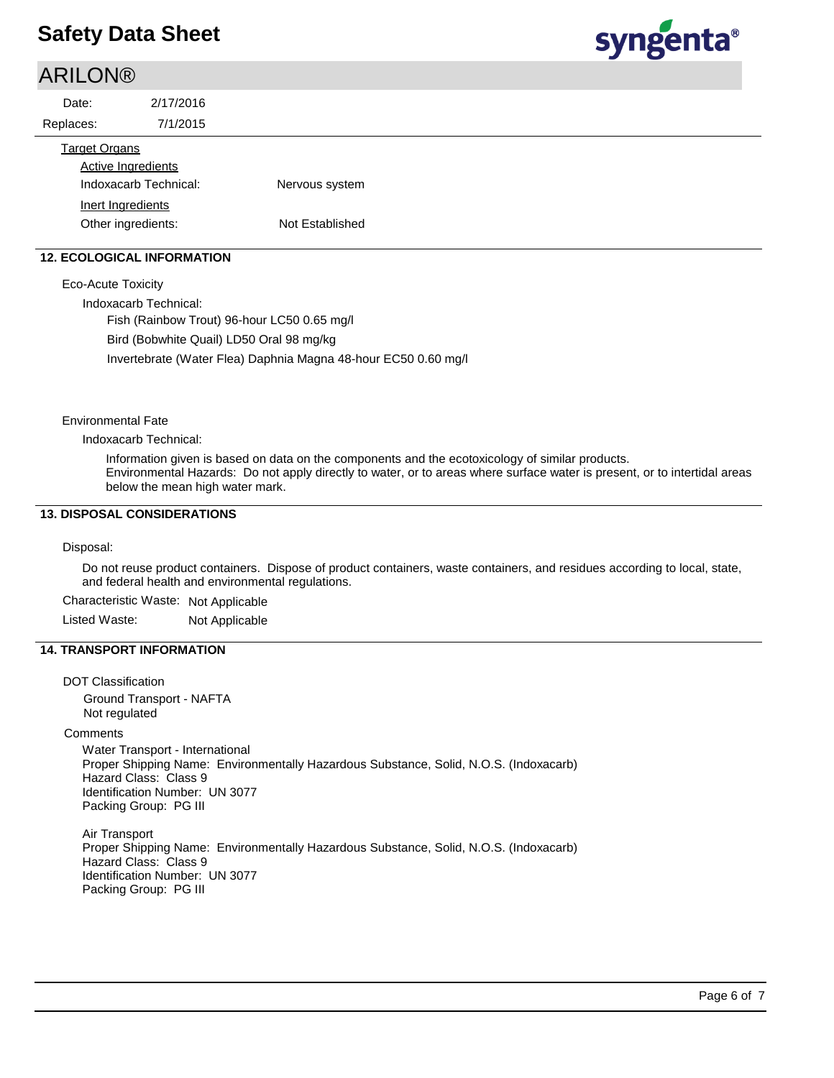## **ARILON®**



| Date:                | 2/17/2016                                          |                 |  |  |
|----------------------|----------------------------------------------------|-----------------|--|--|
| Replaces:            | 7/1/2015                                           |                 |  |  |
| <b>Target Organs</b> | <b>Active Ingredients</b><br>Indoxacarb Technical: | Nervous system  |  |  |
|                      | Inert Ingredients<br>Other ingredients:            | Not Established |  |  |
|                      |                                                    |                 |  |  |

## **12. ECOLOGICAL INFORMATION**

Eco-Acute Toxicity

Indoxacarb Technical:

Fish (Rainbow Trout) 96-hour LC50 0.65 mg/l Bird (Bobwhite Quail) LD50 Oral 98 mg/kg Invertebrate (Water Flea) Daphnia Magna 48-hour EC50 0.60 mg/l

### Environmental Fate

Indoxacarb Technical:

Information given is based on data on the components and the ecotoxicology of similar products. Environmental Hazards: Do not apply directly to water, or to areas where surface water is present, or to intertidal areas below the mean high water mark.

## **13. DISPOSAL CONSIDERATIONS**

#### Disposal:

Do not reuse product containers. Dispose of product containers, waste containers, and residues according to local, state, and federal health and environmental regulations.

Characteristic Waste: Not Applicable Listed Waste: Not Applicable

### **14. TRANSPORT INFORMATION**

DOT Classification Ground Transport - NAFTA Not regulated **Comments** Water Transport - International Proper Shipping Name: Environmentally Hazardous Substance, Solid, N.O.S. (Indoxacarb) Hazard Class: Class 9 Identification Number: UN 3077 Packing Group: PG III Air Transport

Proper Shipping Name: Environmentally Hazardous Substance, Solid, N.O.S. (Indoxacarb) Hazard Class: Class 9 Identification Number: UN 3077 Packing Group: PG III